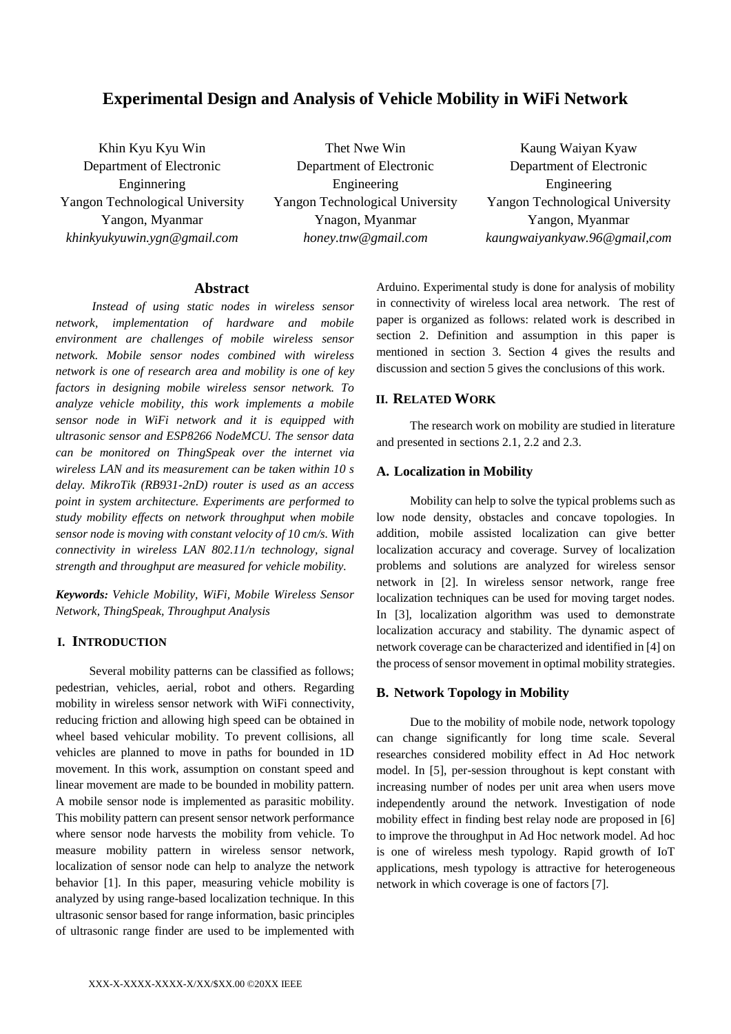# **Experimental Design and Analysis of Vehicle Mobility in WiFi Network**

Khin Kyu Kyu Win Department of Electronic Enginnering Yangon Technological University Yangon, Myanmar *khinkyukyuwin.ygn@gmail.com*

Thet Nwe Win Department of Electronic Engineering Yangon Technological University Ynagon, Myanmar *honey.tnw@gmail.com*

Kaung Waiyan Kyaw Department of Electronic Engineering Yangon Technological University Yangon, Myanmar *[kaungwaiyankyaw.96@gmail,com](mailto:kaungwaiyankyaw.96@gmail,com)*

# **Abstract**

*Instead of using static nodes in wireless sensor network, implementation of hardware and mobile environment are challenges of mobile wireless sensor network. Mobile sensor nodes combined with wireless network is one of research area and mobility is one of key factors in designing mobile wireless sensor network. To analyze vehicle mobility, this work implements a mobile sensor node in WiFi network and it is equipped with ultrasonic sensor and ESP8266 NodeMCU. The sensor data can be monitored on ThingSpeak over the internet via wireless LAN and its measurement can be taken within 10 s delay. MikroTik (RB931-2nD) router is used as an access point in system architecture. Experiments are performed to study mobility effects on network throughput when mobile sensor node is moving with constant velocity of 10 cm/s. With connectivity in wireless LAN 802.11/n technology, signal strength and throughput are measured for vehicle mobility.*

*Keywords: Vehicle Mobility, WiFi, Mobile Wireless Sensor Network, ThingSpeak, Throughput Analysis*

### **I. INTRODUCTION**

Several mobility patterns can be classified as follows; pedestrian, vehicles, aerial, robot and others. Regarding mobility in wireless sensor network with WiFi connectivity, reducing friction and allowing high speed can be obtained in wheel based vehicular mobility. To prevent collisions, all vehicles are planned to move in paths for bounded in 1D movement. In this work, assumption on constant speed and linear movement are made to be bounded in mobility pattern. A mobile sensor node is implemented as parasitic mobility. This mobility pattern can present sensor network performance where sensor node harvests the mobility from vehicle. To measure mobility pattern in wireless sensor network, localization of sensor node can help to analyze the network behavior [1]. In this paper, measuring vehicle mobility is analyzed by using range-based localization technique. In this ultrasonic sensor based for range information, basic principles of ultrasonic range finder are used to be implemented with

Arduino. Experimental study is done for analysis of mobility in connectivity of wireless local area network. The rest of paper is organized as follows: related work is described in section 2. Definition and assumption in this paper is mentioned in section 3. Section 4 gives the results and discussion and section 5 gives the conclusions of this work.

# **II. RELATED WORK**

The research work on mobility are studied in literature and presented in sections 2.1, 2.2 and 2.3.

#### **A. Localization in Mobility**

Mobility can help to solve the typical problems such as low node density, obstacles and concave topologies. In addition, mobile assisted localization can give better localization accuracy and coverage. Survey of localization problems and solutions are analyzed for wireless sensor network in [2]. In wireless sensor network, range free localization techniques can be used for moving target nodes. In [3], localization algorithm was used to demonstrate localization accuracy and stability. The dynamic aspect of network coverage can be characterized and identified in [4] on the process of sensor movement in optimal mobility strategies.

### **B. Network Topology in Mobility**

Due to the mobility of mobile node, network topology can change significantly for long time scale. Several researches considered mobility effect in Ad Hoc network model. In [5], per-session throughout is kept constant with increasing number of nodes per unit area when users move independently around the network. Investigation of node mobility effect in finding best relay node are proposed in [6] to improve the throughput in Ad Hoc network model. Ad hoc is one of wireless mesh typology. Rapid growth of IoT applications, mesh typology is attractive for heterogeneous network in which coverage is one of factors [7].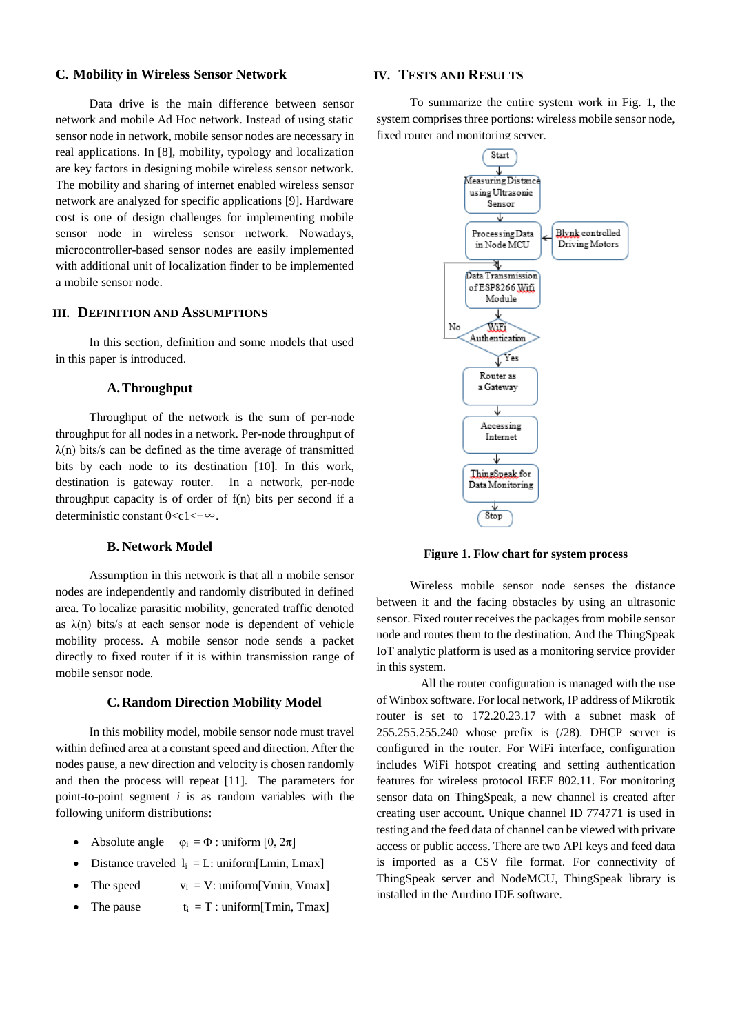### **C. Mobility in Wireless Sensor Network**

Data drive is the main difference between sensor network and mobile Ad Hoc network. Instead of using static sensor node in network, mobile sensor nodes are necessary in real applications. In [8], mobility, typology and localization are key factors in designing mobile wireless sensor network. The mobility and sharing of internet enabled wireless sensor network are analyzed for specific applications [9]. Hardware cost is one of design challenges for implementing mobile sensor node in wireless sensor network. Nowadays, microcontroller-based sensor nodes are easily implemented with additional unit of localization finder to be implemented a mobile sensor node.

#### **III. DEFINITION AND ASSUMPTIONS**

In this section, definition and some models that used in this paper is introduced.

#### **A.Throughput**

Throughput of the network is the sum of per-node throughput for all nodes in a network. Per-node throughput of  $\lambda$ (n) bits/s can be defined as the time average of transmitted bits by each node to its destination [10]. In this work, destination is gateway router. In a network, per-node throughput capacity is of order of f(n) bits per second if a deterministic constant  $0 < c1 < +\infty$ .

# **B. Network Model**

Assumption in this network is that all n mobile sensor nodes are independently and randomly distributed in defined area. To localize parasitic mobility, generated traffic denoted as  $\lambda(n)$  bits/s at each sensor node is dependent of vehicle mobility process. A mobile sensor node sends a packet directly to fixed router if it is within transmission range of mobile sensor node.

#### **C.Random Direction Mobility Model**

In this mobility model, mobile sensor node must travel within defined area at a constant speed and direction. After the nodes pause, a new direction and velocity is chosen randomly and then the process will repeat [11]. The parameters for point-to-point segment *i* is as random variables with the following uniform distributions:

- Absolute angle  $\varphi_i = \Phi$  : uniform  $[0, 2\pi]$
- Distance traveled  $l_i = L$ : uniform[Lmin, Lmax]
- The speed  $v_i = V$ : uniform[Vmin, Vmax]
- The pause  $t_i = T : uniform[Tmin, Tmax]$

# **IV. TESTS AND RESULTS**

To summarize the entire system work in Fig. 1, the system comprises three portions: wireless mobile sensor node, fixed router and monitoring server.



**Figure 1. Flow chart for system process**

Wireless mobile sensor node senses the distance between it and the facing obstacles by using an ultrasonic sensor. Fixed router receives the packages from mobile sensor node and routes them to the destination. And the ThingSpeak IoT analytic platform is used as a monitoring service provider in this system.

All the router configuration is managed with the use of Winbox software. For local network, IP address of Mikrotik router is set to 172.20.23.17 with a subnet mask of 255.255.255.240 whose prefix is (/28). DHCP server is configured in the router. For WiFi interface, configuration includes WiFi hotspot creating and setting authentication features for wireless protocol IEEE 802.11. For monitoring sensor data on ThingSpeak, a new channel is created after creating user account. Unique channel ID 774771 is used in testing and the feed data of channel can be viewed with private access or public access. There are two API keys and feed data is imported as a CSV file format. For connectivity of ThingSpeak server and NodeMCU, ThingSpeak library is installed in the Aurdino IDE software.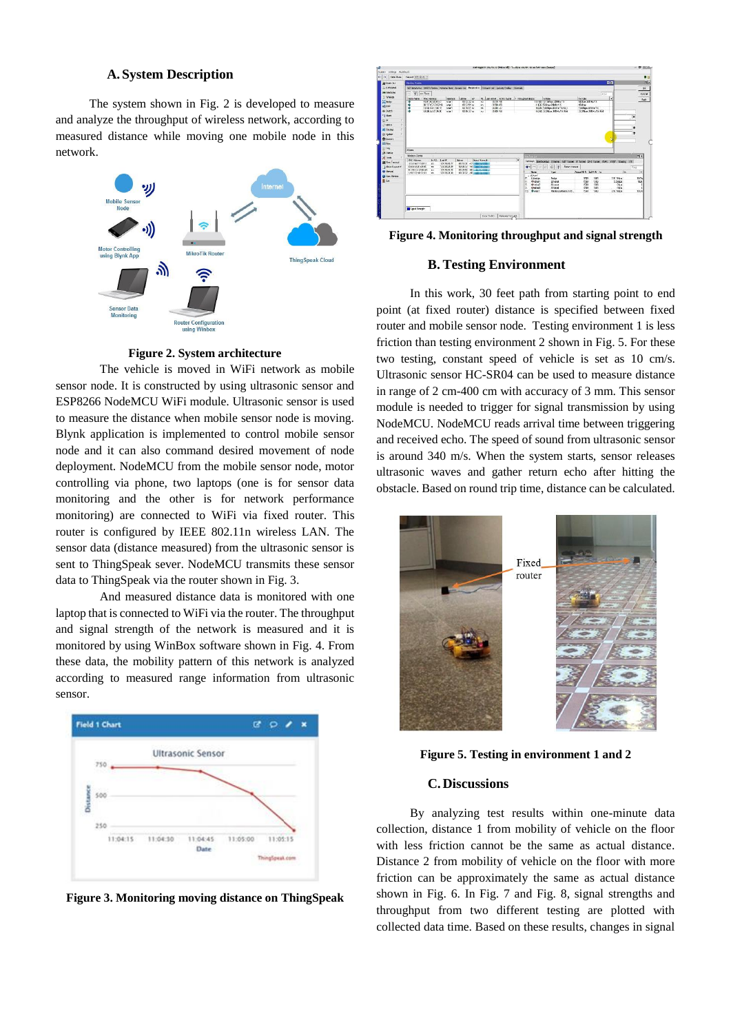## **A. System Description**

The system shown in Fig. 2 is developed to measure and analyze the throughput of wireless network, according to measured distance while moving one mobile node in this network.



**Figure 2. System architecture**

The vehicle is moved in WiFi network as mobile sensor node. It is constructed by using ultrasonic sensor and ESP8266 NodeMCU WiFi module. Ultrasonic sensor is used to measure the distance when mobile sensor node is moving. Blynk application is implemented to control mobile sensor node and it can also command desired movement of node deployment. NodeMCU from the mobile sensor node, motor controlling via phone, two laptops (one is for sensor data monitoring and the other is for network performance monitoring) are connected to WiFi via fixed router. This router is configured by IEEE 802.11n wireless LAN. The sensor data (distance measured) from the ultrasonic sensor is sent to ThingSpeak sever. NodeMCU transmits these sensor data to ThingSpeak via the router shown in Fig. 3.

And measured distance data is monitored with one laptop that is connected to WiFi via the router. The throughput and signal strength of the network is measured and it is monitored by using WinBox software shown in Fig. 4. From these data, the mobility pattern of this network is analyzed according to measured range information from ultrasonic sensor.



**Figure 3. Monitoring moving distance on ThingSpeak**



**Figure 4. Monitoring throughput and signal strength**

### **B. Testing Environment**

In this work, 30 feet path from starting point to end point (at fixed router) distance is specified between fixed router and mobile sensor node. Testing environment 1 is less friction than testing environment 2 shown in Fig. 5. For these two testing, constant speed of vehicle is set as 10 cm/s. Ultrasonic sensor HC-SR04 can be used to measure distance in range of 2 cm-400 cm with accuracy of 3 mm. This sensor module is needed to trigger for signal transmission by using NodeMCU. NodeMCU reads arrival time between triggering and received echo. The speed of sound from ultrasonic sensor is around 340 m/s. When the system starts, sensor releases ultrasonic waves and gather return echo after hitting the obstacle. Based on round trip time, distance can be calculated.



**Figure 5. Testing in environment 1 and 2**

#### **C.Discussions**

By analyzing test results within one-minute data collection, distance 1 from mobility of vehicle on the floor with less friction cannot be the same as actual distance. Distance 2 from mobility of vehicle on the floor with more friction can be approximately the same as actual distance shown in Fig. 6. In Fig. 7 and Fig. 8, signal strengths and throughput from two different testing are plotted with collected data time. Based on these results, changes in signal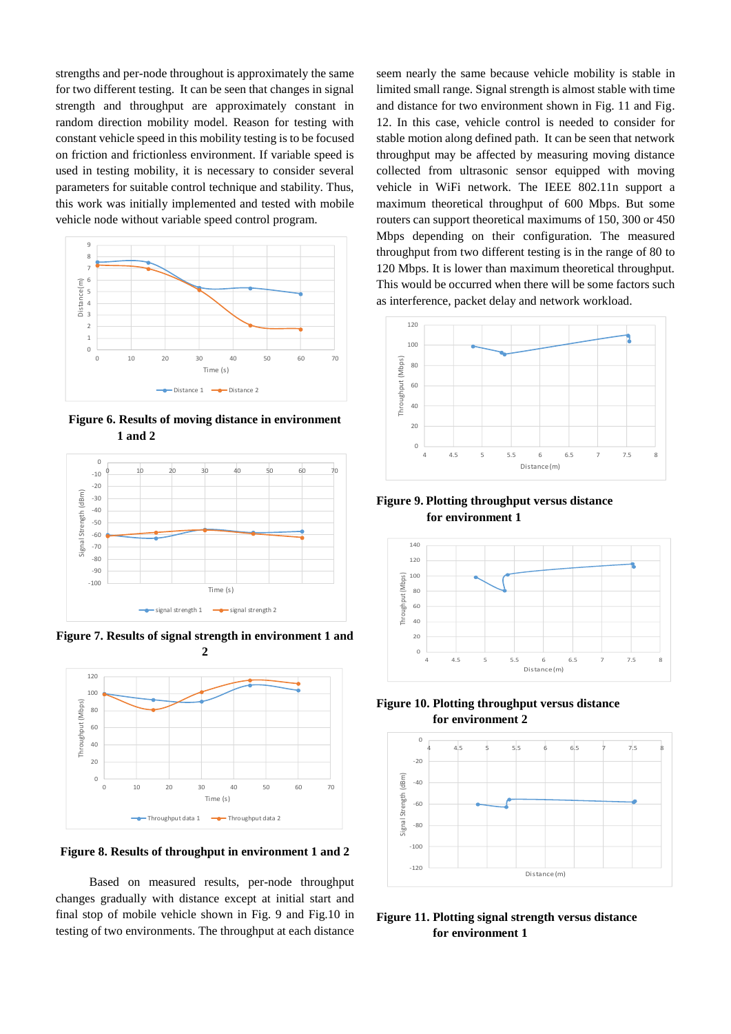strengths and per-node throughout is approximately the same for two different testing. It can be seen that changes in signal strength and throughput are approximately constant in random direction mobility model. Reason for testing with constant vehicle speed in this mobility testing is to be focused on friction and frictionless environment. If variable speed is used in testing mobility, it is necessary to consider several parameters for suitable control technique and stability. Thus, this work was initially implemented and tested with mobile vehicle node without variable speed control program.



**Figure 6. Results of moving distance in environment 1 and 2**



**Figure 7. Results of signal strength in environment 1 and 2**



**Figure 8. Results of throughput in environment 1 and 2**

Based on measured results, per-node throughput changes gradually with distance except at initial start and final stop of mobile vehicle shown in Fig. 9 and Fig.10 in testing of two environments. The throughput at each distance

seem nearly the same because vehicle mobility is stable in limited small range. Signal strength is almost stable with time and distance for two environment shown in Fig. 11 and Fig. 12. In this case, vehicle control is needed to consider for stable motion along defined path. It can be seen that network throughput may be affected by measuring moving distance collected from ultrasonic sensor equipped with moving vehicle in WiFi network. The IEEE 802.11n support a maximum theoretical throughput of 600 Mbps. But some routers can support theoretical maximums of 150, 300 or 450 Mbps depending on their configuration. The measured throughput from two different testing is in the range of 80 to 120 Mbps. It is lower than maximum theoretical throughput. This would be occurred when there will be some factors such as interference, packet delay and network workload.



**Figure 9. Plotting throughput versus distance for environment 1**



**Figure 10. Plotting throughput versus distance for environment 2**



**Figure 11. Plotting signal strength versus distance for environment 1**